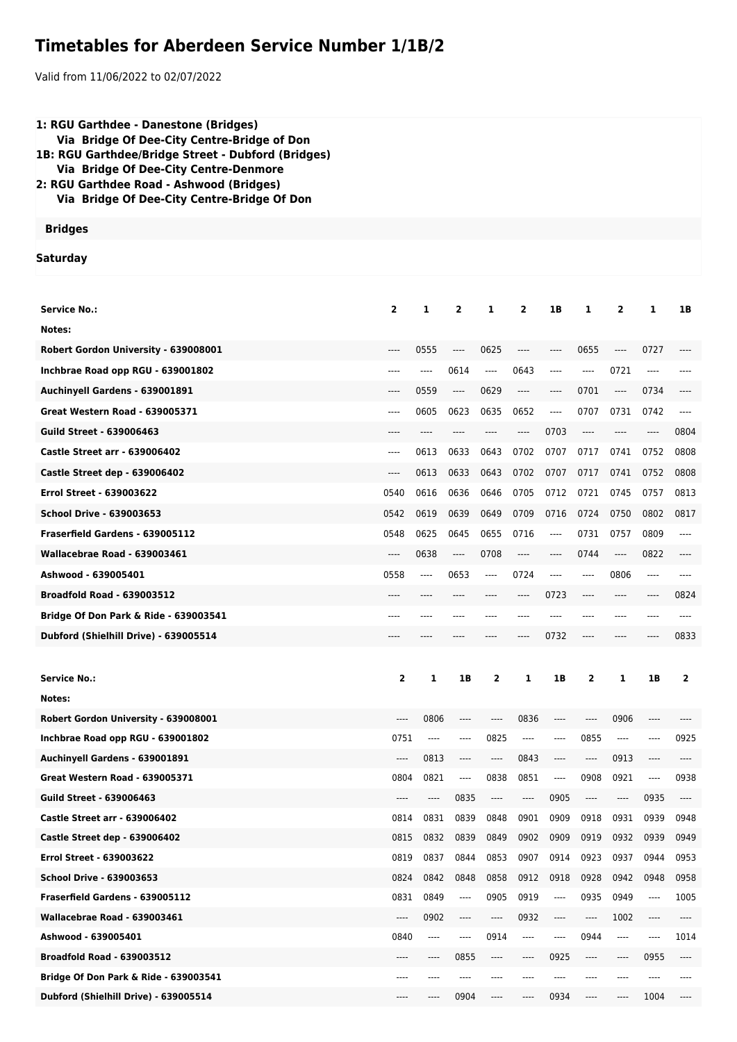## **Timetables for Aberdeen Service Number 1/1B/2**

Valid from 11/06/2022 to 02/07/2022

| 1: RGU Garthdee - Danestone (Bridges)<br>Via Bridge Of Dee-City Centre-Bridge of Don<br>1B: RGU Garthdee/Bridge Street - Dubford (Bridges)<br>Via Bridge Of Dee-City Centre-Denmore<br>2: RGU Garthdee Road - Ashwood (Bridges)<br>Via Bridge Of Dee-City Centre-Bridge Of Don |              |                  |                          |                                                                                                                                                                                                           |                               |                                                             |                  |                                                                           |                               |              |
|--------------------------------------------------------------------------------------------------------------------------------------------------------------------------------------------------------------------------------------------------------------------------------|--------------|------------------|--------------------------|-----------------------------------------------------------------------------------------------------------------------------------------------------------------------------------------------------------|-------------------------------|-------------------------------------------------------------|------------------|---------------------------------------------------------------------------|-------------------------------|--------------|
| <b>Bridges</b>                                                                                                                                                                                                                                                                 |              |                  |                          |                                                                                                                                                                                                           |                               |                                                             |                  |                                                                           |                               |              |
| <b>Saturday</b>                                                                                                                                                                                                                                                                |              |                  |                          |                                                                                                                                                                                                           |                               |                                                             |                  |                                                                           |                               |              |
| <b>Service No.:</b>                                                                                                                                                                                                                                                            | $\mathbf{2}$ | 1                | $\mathbf{2}$             | 1                                                                                                                                                                                                         | $\overline{2}$                | 1B                                                          | 1                | 2                                                                         | 1                             | 1B           |
| Notes:                                                                                                                                                                                                                                                                         |              |                  |                          |                                                                                                                                                                                                           |                               |                                                             |                  |                                                                           |                               |              |
| Robert Gordon University - 639008001                                                                                                                                                                                                                                           | ----         | 0555             | $---$                    | 0625                                                                                                                                                                                                      | $---$                         | ----                                                        | 0655             | $---$                                                                     | 0727                          | ----         |
| Inchbrae Road opp RGU - 639001802                                                                                                                                                                                                                                              | ----         | ----             | 0614                     | $---$                                                                                                                                                                                                     | 0643                          | ----                                                        | ----             | 0721                                                                      | ----                          |              |
| Auchinyell Gardens - 639001891                                                                                                                                                                                                                                                 | $---$        | 0559             | $---$                    | 0629                                                                                                                                                                                                      | $---$                         | $-----$                                                     | 0701             | $---$                                                                     | 0734                          |              |
| <b>Great Western Road - 639005371</b>                                                                                                                                                                                                                                          | ----         | 0605             | 0623                     | 0635                                                                                                                                                                                                      | 0652                          | ----                                                        | 0707             | 0731                                                                      | 0742                          | ----         |
| <b>Guild Street - 639006463</b>                                                                                                                                                                                                                                                | ----         | ----             |                          | ----                                                                                                                                                                                                      | $---$                         | 0703                                                        | $---$            | $---$                                                                     | $---$                         | 0804         |
| <b>Castle Street arr - 639006402</b>                                                                                                                                                                                                                                           | $---$        | 0613             | 0633                     | 0643                                                                                                                                                                                                      | 0702                          | 0707                                                        | 0717             | 0741                                                                      | 0752                          | 0808         |
| Castle Street dep - 639006402                                                                                                                                                                                                                                                  | $---$        | 0613             | 0633                     | 0643                                                                                                                                                                                                      | 0702                          | 0707                                                        | 0717             | 0741                                                                      | 0752                          | 0808         |
| <b>Errol Street - 639003622</b>                                                                                                                                                                                                                                                | 0540         | 0616             | 0636                     | 0646                                                                                                                                                                                                      | 0705                          | 0712                                                        | 0721             | 0745                                                                      | 0757                          | 0813         |
| <b>School Drive - 639003653</b>                                                                                                                                                                                                                                                | 0542         | 0619             | 0639                     | 0649                                                                                                                                                                                                      | 0709                          | 0716                                                        | 0724             | 0750                                                                      | 0802                          | 0817         |
| Fraserfield Gardens - 639005112                                                                                                                                                                                                                                                | 0548         | 0625             | 0645                     | 0655                                                                                                                                                                                                      | 0716                          | ----                                                        | 0731             | 0757                                                                      | 0809                          | $---$        |
| Wallacebrae Road - 639003461                                                                                                                                                                                                                                                   | ----         | 0638             | $---$                    | 0708                                                                                                                                                                                                      | $---$                         | $---$                                                       | 0744             | $---$                                                                     | 0822                          | ----         |
| Ashwood - 639005401                                                                                                                                                                                                                                                            | 0558         | $---$            | 0653                     | $---$                                                                                                                                                                                                     | 0724                          | $---$                                                       | ----             | 0806                                                                      | ----                          | $---$        |
| <b>Broadfold Road - 639003512</b>                                                                                                                                                                                                                                              | ----         |                  |                          |                                                                                                                                                                                                           | $---$                         | 0723                                                        | $---$            | $---$                                                                     | ----                          | 0824         |
| Bridge Of Don Park & Ride - 639003541                                                                                                                                                                                                                                          | ----         | ----             |                          |                                                                                                                                                                                                           | $---$                         | ----                                                        | $---$            | $---$                                                                     | ----                          | $---$        |
| Dubford (Shielhill Drive) - 639005514                                                                                                                                                                                                                                          | $---$        |                  |                          |                                                                                                                                                                                                           | $---$                         | 0732                                                        |                  |                                                                           |                               | 0833         |
|                                                                                                                                                                                                                                                                                |              |                  |                          |                                                                                                                                                                                                           |                               |                                                             |                  |                                                                           |                               |              |
| <b>Service No.:</b>                                                                                                                                                                                                                                                            | $\mathbf{2}$ | 1                | 1B                       | 2                                                                                                                                                                                                         | 1                             | 1B                                                          | 2                | 1                                                                         | 1В                            | 2            |
| Notes:                                                                                                                                                                                                                                                                         |              |                  |                          |                                                                                                                                                                                                           |                               |                                                             |                  |                                                                           |                               |              |
| Robert Gordon University - 639008001                                                                                                                                                                                                                                           | ----         | 0806             | $\cdots$                 | $\cdots$                                                                                                                                                                                                  | 0836                          | $\hspace{0.05cm}\ldots\hspace{0.05cm}\ldots\hspace{0.05cm}$ | $\cdots$         | 0906                                                                      | $\hspace{1.5cm} \textbf{---}$ | ----         |
| Inchbrae Road opp RGU - 639001802                                                                                                                                                                                                                                              | 0751         | $\cdots$         | $---$                    | 0825                                                                                                                                                                                                      | ----                          | ----                                                        | 0855             | $\cdots$                                                                  | ----                          | 0925         |
| Auchinyell Gardens - 639001891                                                                                                                                                                                                                                                 | ----         | 0813             | $---$                    | ----                                                                                                                                                                                                      | 0843                          | $---$                                                       | ----             | 0913                                                                      | $---$                         | ----         |
| Great Western Road - 639005371                                                                                                                                                                                                                                                 | 0804         | 0821             | $\overline{\phantom{a}}$ | 0838                                                                                                                                                                                                      | 0851                          | $\hspace{1.5cm} \textbf{---}$                               | 0908             | 0921                                                                      | $\cdots$                      | 0938         |
| <b>Guild Street - 639006463</b>                                                                                                                                                                                                                                                | ----         | ----             | 0835                     | $\hspace{0.01em}\rule{0.7pt}{0.1em}\hspace{0.01em}\hspace{0.01em} \cdots$                                                                                                                                 | ----                          | 0905                                                        | ----             | $\hspace{0.01em}\rule{0.7pt}{0.1em}\hspace{0.01em}\hspace{0.01em} \cdots$ | 0935                          | ----         |
| <b>Castle Street arr - 639006402</b>                                                                                                                                                                                                                                           | 0814         | 0831             | 0839                     | 0848                                                                                                                                                                                                      | 0901                          | 0909                                                        | 0918             | 0931                                                                      | 0939                          | 0948         |
| Castle Street dep - 639006402                                                                                                                                                                                                                                                  | 0815         | 0832             | 0839                     | 0849                                                                                                                                                                                                      | 0902                          | 0909                                                        | 0919             | 0932                                                                      | 0939                          | 0949         |
| <b>Errol Street - 639003622</b>                                                                                                                                                                                                                                                | 0819         | 0837             | 0844                     | 0853                                                                                                                                                                                                      | 0907                          | 0914                                                        | 0923             | 0937                                                                      | 0944                          | 0953         |
| <b>School Drive - 639003653</b>                                                                                                                                                                                                                                                | 0824         | 0842             | 0848                     | 0858                                                                                                                                                                                                      | 0912                          | 0918                                                        | 0928             | 0942                                                                      | 0948                          | 0958         |
| Fraserfield Gardens - 639005112                                                                                                                                                                                                                                                | 0831         | 0849             | ----                     | 0905                                                                                                                                                                                                      | 0919                          | ----                                                        | 0935             | 0949                                                                      | ----                          | 1005         |
| Wallacebrae Road - 639003461<br>Ashwood - 639005401                                                                                                                                                                                                                            | ----<br>0840 | 0902<br>$\cdots$ | $\cdots$<br>----         | $\hspace{0.02in} \hspace{0.02in} \hspace{0.02in} \hspace{0.02in} \hspace{0.02in} \hspace{0.02in} \hspace{0.02in} \hspace{0.02in} \hspace{0.02in} \hspace{0.02in} \hspace{0.02in} \hspace{0.02in}$<br>0914 | 0932<br>----                  | ----<br>$---$                                               | $\cdots$<br>0944 | 1002<br>----                                                              | $-----$<br>----               | ----<br>1014 |
| <b>Broadfold Road - 639003512</b>                                                                                                                                                                                                                                              | ----         | $\cdots$         | 0855                     | $\cdots$                                                                                                                                                                                                  | $\hspace{1.5cm} \textbf{---}$ | 0925                                                        | $\cdots$         | $\cdots$                                                                  | 0955                          | ----         |
| Bridge Of Don Park & Ride - 639003541                                                                                                                                                                                                                                          |              | $---$            |                          |                                                                                                                                                                                                           |                               |                                                             |                  |                                                                           |                               |              |
| Dubford (Shielhill Drive) - 639005514                                                                                                                                                                                                                                          |              | $-----$          | 0904                     | $\cdots$                                                                                                                                                                                                  | $\cdots$                      | 0934                                                        | $\cdots$         | ----                                                                      | 1004                          | ----         |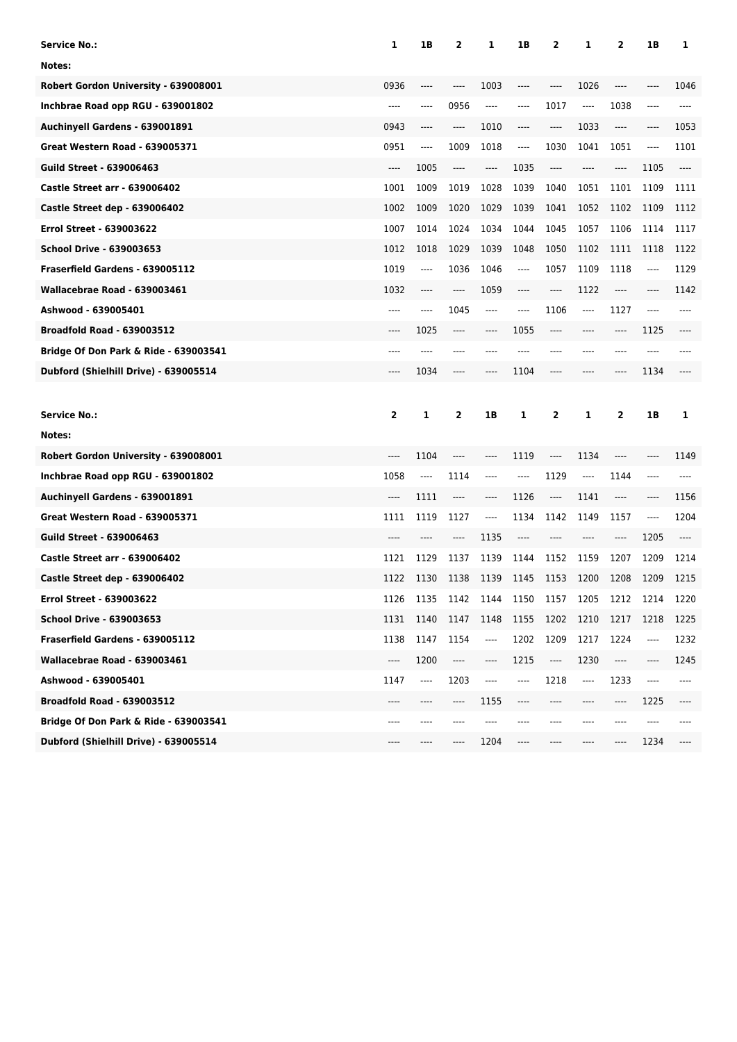| <b>Service No.:</b>                   | 1                       | 1B    | $\overline{2}$                | 1    | 1B                            | 2                             | 1                             | 2                             | 1B     | 1    |
|---------------------------------------|-------------------------|-------|-------------------------------|------|-------------------------------|-------------------------------|-------------------------------|-------------------------------|--------|------|
| Notes:                                |                         |       |                               |      |                               |                               |                               |                               |        |      |
| Robert Gordon University - 639008001  | 0936                    |       |                               | 1003 | ----                          | ----                          | 1026                          | ----                          |        | 1046 |
| Inchbrae Road opp RGU - 639001802     | $---$                   | ----  | 0956                          | ---- | ----                          | 1017                          | $\hspace{1.5cm} \textbf{---}$ | 1038                          | $-- -$ | ---- |
| Auchinyell Gardens - 639001891        | 0943                    | ----  | ----                          | 1010 | ----                          | ----                          | 1033                          | ----                          | ----   | 1053 |
| <b>Great Western Road - 639005371</b> | 0951                    | ----  | 1009                          | 1018 | $\hspace{1.5cm} \textbf{---}$ | 1030                          | 1041                          | 1051                          | ----   | 1101 |
| <b>Guild Street - 639006463</b>       | $-----$                 | 1005  | ----                          | ---- | 1035                          | $---$                         | ----                          | ----                          | 1105   | ---- |
| <b>Castle Street arr - 639006402</b>  | 1001                    | 1009  | 1019                          | 1028 | 1039                          | 1040                          | 1051                          | 1101                          | 1109   | 1111 |
| Castle Street dep - 639006402         | 1002                    | 1009  | 1020                          | 1029 | 1039                          | 1041                          | 1052                          | 1102                          | 1109   | 1112 |
| <b>Errol Street - 639003622</b>       | 1007                    | 1014  | 1024                          | 1034 | 1044                          | 1045                          | 1057                          | 1106                          | 1114   | 1117 |
| <b>School Drive - 639003653</b>       | 1012                    | 1018  | 1029                          | 1039 | 1048                          | 1050                          | 1102                          | 1111                          | 1118   | 1122 |
| Fraserfield Gardens - 639005112       | 1019                    | ----  | 1036                          | 1046 | ----                          | 1057                          | 1109                          | 1118                          | ----   | 1129 |
| Wallacebrae Road - 639003461          | 1032                    | ----  | ----                          | 1059 | ----                          | ----                          | 1122                          | ----                          | ----   | 1142 |
| Ashwood - 639005401                   | ----                    | ----  | 1045                          | ---- | ----                          | 1106                          | ----                          | 1127                          | ----   |      |
| <b>Broadfold Road - 639003512</b>     | ----                    | 1025  | $-----$                       |      | 1055                          | ----                          |                               | ----                          | 1125   |      |
| Bridge Of Don Park & Ride - 639003541 | ----                    | ----  | ----                          |      |                               | $---$                         | ----                          | ----                          | ----   |      |
| Dubford (Shielhill Drive) - 639005514 | ----                    | 1034  | ----                          |      | 1104                          | ----                          | ----                          | ----                          | 1134   |      |
|                                       |                         |       |                               |      |                               |                               |                               |                               |        |      |
|                                       |                         |       |                               |      |                               |                               |                               |                               |        |      |
| <b>Service No.:</b>                   | $\overline{\mathbf{2}}$ | 1     | 2                             | 1B   | 1                             | 2                             | 1                             | 2                             | 1B     | 1    |
| Notes:                                |                         |       |                               |      |                               |                               |                               |                               |        |      |
| Robert Gordon University - 639008001  | ----                    | 1104  | ----                          | ---- | 1119                          | ----                          | 1134                          | ----                          | ----   | 1149 |
| Inchbrae Road opp RGU - 639001802     | 1058                    | $---$ | 1114                          | ---- | ----                          | 1129                          | ----                          | 1144                          | ----   |      |
| Auchinyell Gardens - 639001891        | ----                    | 1111  | ----                          | ---- | 1126                          | ----                          | 1141                          | ----                          | ----   | 1156 |
| <b>Great Western Road - 639005371</b> | 1111                    | 1119  | 1127                          | ---- | 1134                          | 1142                          | 1149                          | 1157                          | ----   | 1204 |
| <b>Guild Street - 639006463</b>       | ----                    | ----  | ----                          | 1135 | ----                          |                               | ----                          | ----                          | 1205   | ---- |
| <b>Castle Street arr - 639006402</b>  | 1121                    | 1129  | 1137                          | 1139 | 1144                          | 1152                          | 1159                          | 1207                          | 1209   | 1214 |
| Castle Street dep - 639006402         | 1122                    | 1130  | 1138                          | 1139 | 1145                          | 1153                          | 1200                          | 1208                          | 1209   | 1215 |
| Errol Street - 639003622              | 1126                    | 1135  | 1142                          | 1144 | 1150                          | 1157                          | 1205                          | 1212                          | 1214   | 1220 |
| <b>School Drive - 639003653</b>       | 1131                    | 1140  | 1147                          | 1148 | 1155                          | 1202                          | 1210                          | 1217                          | 1218   | 1225 |
| Fraserfield Gardens - 639005112       | 1138                    | 1147  | 1154                          | ---- | 1202                          | 1209                          | 1217                          | 1224                          | ----   | 1232 |
| Wallacebrae Road - 639003461          | ----                    | 1200  | $\hspace{1.5cm} \textbf{---}$ | ---- | 1215                          | $\hspace{1.5cm} \textbf{---}$ | 1230                          | $\hspace{1.5cm} \textbf{---}$ | ----   | 1245 |
| Ashwood - 639005401                   | 1147                    | ----  | 1203                          | ---- | $---$                         | 1218                          | ----                          | 1233                          | $-- -$ | ---- |
| <b>Broadfold Road - 639003512</b>     | ----                    | ----  | ----                          | 1155 | ----                          | ----                          | ----                          | ----                          | 1225   | ---- |
| Bridge Of Don Park & Ride - 639003541 | ----                    | ----  |                               |      |                               |                               | ----                          | ----                          | ----   |      |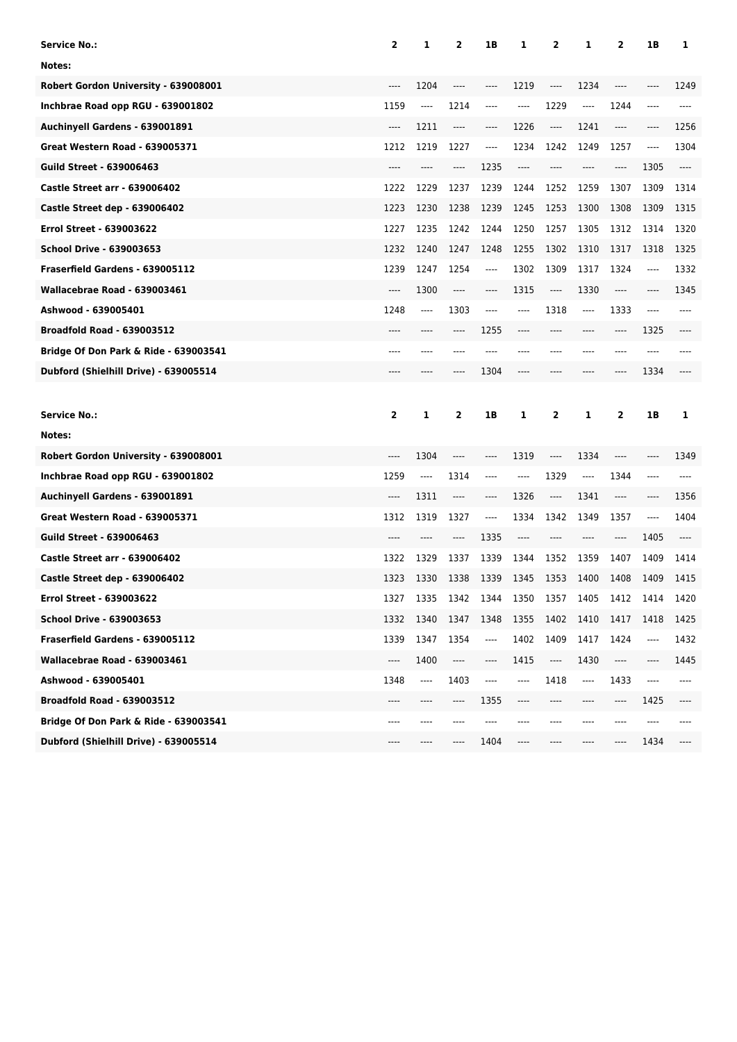| <b>Service No.:</b>                              | $\overline{\mathbf{2}}$ | 1     | 2        | 1B       | 1     | 2                        | 1        | 2    | 1В     | 1    |
|--------------------------------------------------|-------------------------|-------|----------|----------|-------|--------------------------|----------|------|--------|------|
| Notes:                                           |                         |       |          |          |       |                          |          |      |        |      |
| Robert Gordon University - 639008001             |                         | 1204  | ----     | ----     | 1219  | ----                     | 1234     | ---- |        | 1249 |
| Inchbrae Road opp RGU - 639001802                | 1159                    | ----  | 1214     | ----     | ----  | 1229                     | $\cdots$ | 1244 | $---$  | ---- |
| Auchinyell Gardens - 639001891                   | ----                    | 1211  | $\cdots$ | ----     | 1226  | ----                     | 1241     | ---- | ----   | 1256 |
| <b>Great Western Road - 639005371</b>            | 1212                    | 1219  | 1227     | ----     | 1234  | 1242                     | 1249     | 1257 | $---$  | 1304 |
| <b>Guild Street - 639006463</b>                  | ----                    | ----  | ----     | 1235     | ----  | ----                     | ----     | ---- | 1305   | ---- |
| <b>Castle Street arr - 639006402</b>             | 1222                    | 1229  | 1237     | 1239     | 1244  | 1252                     | 1259     | 1307 | 1309   | 1314 |
| <b>Castle Street dep - 639006402</b>             | 1223                    | 1230  | 1238     | 1239     | 1245  | 1253                     | 1300     | 1308 | 1309   | 1315 |
| <b>Errol Street - 639003622</b>                  | 1227                    | 1235  | 1242     | 1244     | 1250  | 1257                     | 1305     | 1312 | 1314   | 1320 |
| <b>School Drive - 639003653</b>                  | 1232                    | 1240  | 1247     | 1248     | 1255  | 1302                     | 1310     | 1317 | 1318   | 1325 |
| Fraserfield Gardens - 639005112                  | 1239                    | 1247  | 1254     | $\cdots$ | 1302  | 1309                     | 1317     | 1324 | ----   | 1332 |
| Wallacebrae Road - 639003461                     | ----                    | 1300  | $\cdots$ | ----     | 1315  | ----                     | 1330     | ---- | ----   | 1345 |
| Ashwood - 639005401                              | 1248                    | ----  | 1303     | ----     | ----  | 1318                     | ----     | 1333 | $---$  |      |
| <b>Broadfold Road - 639003512</b>                | ----                    | ----  | ----     | 1255     | ----  |                          | ----     | ---- | 1325   |      |
| Bridge Of Don Park & Ride - 639003541            | ----                    | ----  |          |          |       |                          | ----     | ---- | ----   |      |
| Dubford (Shielhill Drive) - 639005514            | ----                    | ----  | ----     | 1304     | ----  |                          | ----     | ---- | 1334   |      |
|                                                  |                         |       |          |          |       |                          |          |      |        |      |
|                                                  |                         |       |          |          |       |                          |          |      |        |      |
| <b>Service No.:</b>                              | $\overline{\mathbf{2}}$ | 1     | 2        | 1B       | 1     | 2                        | 1        | 2    | 1B     | 1    |
| Notes:                                           |                         |       |          |          |       |                          |          |      |        |      |
| Robert Gordon University - 639008001             | ----                    | 1304  | ----     |          | 1319  | $---$                    | 1334     | ---- |        | 1349 |
| Inchbrae Road opp RGU - 639001802                | 1259                    | $---$ | 1314     | ----     | ----  | 1329                     | ----     | 1344 | ----   |      |
| Auchinyell Gardens - 639001891                   | ----                    | 1311  | ----     | ----     | 1326  | ----                     | 1341     | ---- | ----   | 1356 |
| <b>Great Western Road - 639005371</b>            | 1312                    | 1319  | 1327     | ----     | 1334  | 1342                     | 1349     | 1357 | $-- -$ | 1404 |
| <b>Guild Street - 639006463</b>                  |                         | ----  | ----     | 1335     | ----  | ----                     | ----     | ---- | 1405   |      |
| <b>Castle Street arr - 639006402</b>             | 1322                    | 1329  | 1337     | 1339     | 1344  | 1352                     | 1359     | 1407 | 1409   | 1414 |
| Castle Street dep - 639006402                    | 1323                    | 1330  | 1338     | 1339     | 1345  | 1353                     | 1400     | 1408 | 1409   | 1415 |
| Errol Street - 639003622                         | 1327                    | 1335  | 1342     | 1344     | 1350  | 1357                     | 1405     | 1412 | 1414   | 1420 |
| <b>School Drive - 639003653</b>                  | 1332                    | 1340  | 1347     | 1348     | 1355  | 1402                     | 1410     | 1417 | 1418   | 1425 |
| Fraserfield Gardens - 639005112                  | 1339                    | 1347  | 1354     | ----     | 1402  | 1409                     | 1417     | 1424 | ----   | 1432 |
| Wallacebrae Road - 639003461                     | ----                    | 1400  | ----     | ----     | 1415  | $\overline{\phantom{a}}$ | 1430     | ---- | ----   | 1445 |
| Ashwood - 639005401                              | 1348                    | ----  | 1403     | ----     | $---$ | 1418                     | ----     | 1433 | ----   | ---- |
| <b>Broadfold Road - 639003512</b>                |                         |       | ----     | 1355     | ----  | ----                     |          | ---- | 1425   | ---- |
| <b>Bridge Of Don Park &amp; Ride - 639003541</b> | ----                    | ----  |          | ----     |       |                          | ----     | ---- | ----   |      |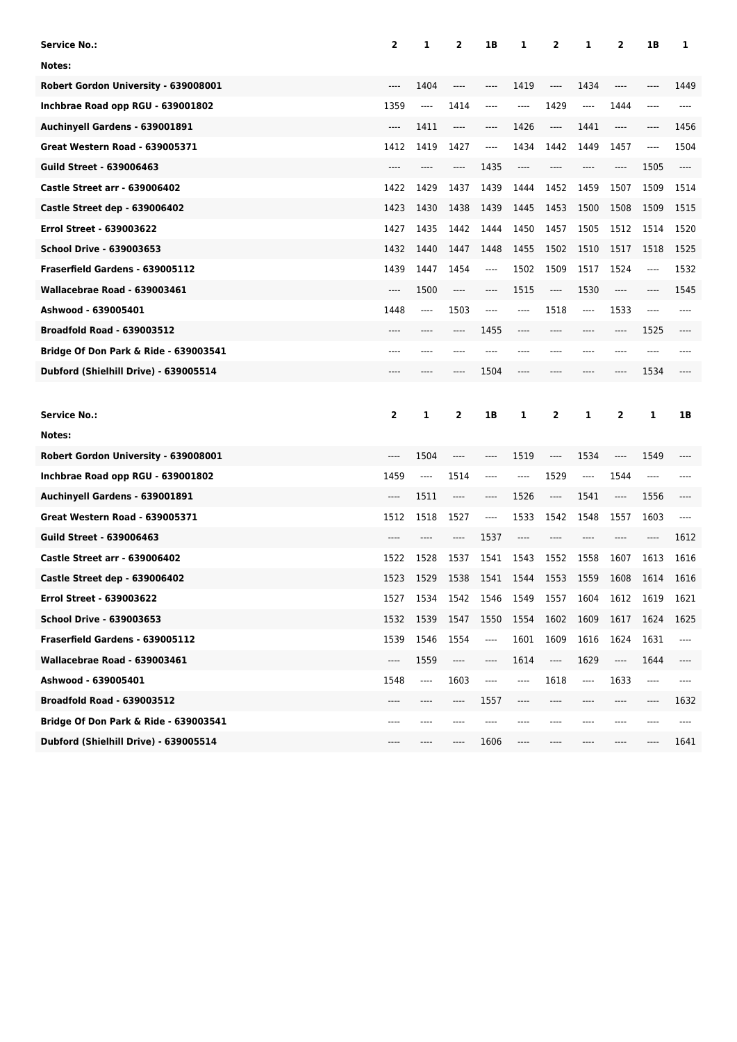| <b>Service No.:</b>                              | $\overline{\mathbf{2}}$ | 1     | 2                             | 1B      | 1     | 2     | 1        | 2    | 1B      | 1    |
|--------------------------------------------------|-------------------------|-------|-------------------------------|---------|-------|-------|----------|------|---------|------|
| Notes:                                           |                         |       |                               |         |       |       |          |      |         |      |
| Robert Gordon University - 639008001             |                         | 1404  | ----                          | ----    | 1419  | ----  | 1434     | ---- |         | 1449 |
| Inchbrae Road opp RGU - 639001802                | 1359                    | ----  | 1414                          | ----    | ----  | 1429  | $\cdots$ | 1444 | $-----$ | ---- |
| Auchinyell Gardens - 639001891                   | ----                    | 1411  | ----                          | ----    | 1426  | ----  | 1441     | ---- | ----    | 1456 |
| <b>Great Western Road - 639005371</b>            | 1412                    | 1419  | 1427                          | ----    | 1434  | 1442  | 1449     | 1457 | $-----$ | 1504 |
| <b>Guild Street - 639006463</b>                  |                         | ----  | ----                          | 1435    | ----  | ----  | ----     | ---- | 1505    | ---- |
| <b>Castle Street arr - 639006402</b>             | 1422                    | 1429  | 1437                          | 1439    | 1444  | 1452  | 1459     | 1507 | 1509    | 1514 |
| <b>Castle Street dep - 639006402</b>             | 1423                    | 1430  | 1438                          | 1439    | 1445  | 1453  | 1500     | 1508 | 1509    | 1515 |
| <b>Errol Street - 639003622</b>                  | 1427                    | 1435  | 1442                          | 1444    | 1450  | 1457  | 1505     | 1512 | 1514    | 1520 |
| <b>School Drive - 639003653</b>                  | 1432                    | 1440  | 1447                          | 1448    | 1455  | 1502  | 1510     | 1517 | 1518    | 1525 |
| Fraserfield Gardens - 639005112                  | 1439                    | 1447  | 1454                          | ----    | 1502  | 1509  | 1517     | 1524 | ----    | 1532 |
| Wallacebrae Road - 639003461                     | ----                    | 1500  | $\cdots$                      | $-----$ | 1515  | ----  | 1530     | ---- | ----    | 1545 |
| Ashwood - 639005401                              | 1448                    | ----  | 1503                          | ----    | ----  | 1518  | ----     | 1533 | $---$   |      |
| <b>Broadfold Road - 639003512</b>                | ----                    |       | ----                          | 1455    | ----  |       | ----     | ---- | 1525    |      |
| Bridge Of Don Park & Ride - 639003541            | ----                    | ----  |                               |         |       | ----  | ----     | ---- | ----    |      |
| Dubford (Shielhill Drive) - 639005514            | ----                    | ----  | ----                          | 1504    | ----  |       | ----     | ---- | 1534    |      |
|                                                  |                         |       |                               |         |       |       |          |      |         |      |
|                                                  |                         |       |                               |         |       |       |          |      |         |      |
| <b>Service No.:</b>                              | $\overline{\mathbf{2}}$ | 1     | 2                             | 1B      | 1     | 2     | 1        | 2    | 1       | 1B   |
| Notes:                                           |                         |       |                               |         |       |       |          |      |         |      |
| Robert Gordon University - 639008001             | ----                    | 1504  | ----                          |         | 1519  | $---$ | 1534     | ---- | 1549    |      |
| Inchbrae Road opp RGU - 639001802                | 1459                    | $---$ | 1514                          | ----    | ----  | 1529  | $---$    | 1544 | ----    |      |
| Auchinyell Gardens - 639001891                   | ----                    | 1511  | $\hspace{1.5cm} \textbf{---}$ | ----    | 1526  | $---$ | 1541     | ---- | 1556    |      |
| <b>Great Western Road - 639005371</b>            | 1512                    | 1518  | 1527                          | ----    | 1533  | 1542  | 1548     | 1557 | 1603    | ---- |
| <b>Guild Street - 639006463</b>                  | ----                    | ----  | ----                          | 1537    | ----  |       | ----     |      | ----    | 1612 |
| <b>Castle Street arr - 639006402</b>             | 1522                    | 1528  | 1537                          | 1541    | 1543  | 1552  | 1558     | 1607 | 1613    | 1616 |
| Castle Street dep - 639006402                    | 1523                    | 1529  | 1538                          | 1541    | 1544  | 1553  | 1559     | 1608 | 1614    | 1616 |
| Errol Street - 639003622                         | 1527                    | 1534  | 1542                          | 1546    | 1549  | 1557  | 1604     | 1612 | 1619    | 1621 |
| <b>School Drive - 639003653</b>                  | 1532                    | 1539  | 1547                          | 1550    | 1554  | 1602  | 1609     | 1617 | 1624    | 1625 |
| Fraserfield Gardens - 639005112                  | 1539                    | 1546  | 1554                          | ----    | 1601  | 1609  | 1616     | 1624 | 1631    | ---- |
| Wallacebrae Road - 639003461                     | ----                    | 1559  | ----                          | ----    | 1614  | ----  | 1629     | ---- | 1644    | ---- |
| Ashwood - 639005401                              | 1548                    | ----  | 1603                          | ----    | $---$ | 1618  | ----     | 1633 | ----    | ---- |
| <b>Broadfold Road - 639003512</b>                |                         |       | ----                          | 1557    | ----  |       |          |      |         | 1632 |
| <b>Bridge Of Don Park &amp; Ride - 639003541</b> | ----                    | ----  |                               |         |       |       | ----     | ---- |         |      |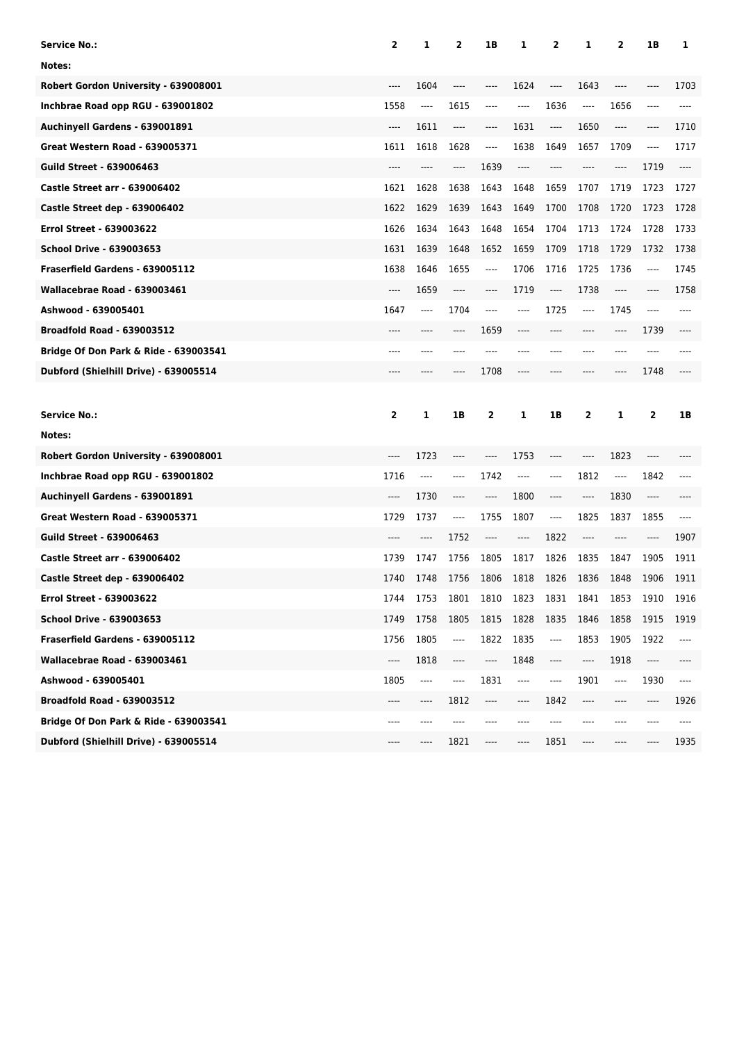| <b>Service No.:</b>                   | 2                       | 1       | 2                             | 1B   | 1    | 2                             | 1       | 2                             | 1Β      | 1    |
|---------------------------------------|-------------------------|---------|-------------------------------|------|------|-------------------------------|---------|-------------------------------|---------|------|
| Notes:                                |                         |         |                               |      |      |                               |         |                               |         |      |
| Robert Gordon University - 639008001  | ----                    | 1604    | ----                          | ---- | 1624 | ----                          | 1643    | ----                          | ----    | 1703 |
| Inchbrae Road opp RGU - 639001802     | 1558                    | ----    | 1615                          | ---- | ---- | 1636                          | ----    | 1656                          | ----    | ---- |
| Auchinyell Gardens - 639001891        | ----                    | 1611    | ----                          | ---- | 1631 | ----                          | 1650    | ----                          | $-----$ | 1710 |
| <b>Great Western Road - 639005371</b> | 1611                    | 1618    | 1628                          | ---- | 1638 | 1649                          | 1657    | 1709                          | ----    | 1717 |
| <b>Guild Street - 639006463</b>       | ----                    | ----    | ----                          | 1639 | ---- | ----                          | ----    | ----                          | 1719    | ---- |
| <b>Castle Street arr - 639006402</b>  | 1621                    | 1628    | 1638                          | 1643 | 1648 | 1659                          | 1707    | 1719                          | 1723    | 1727 |
| Castle Street dep - 639006402         | 1622                    | 1629    | 1639                          | 1643 | 1649 | 1700                          | 1708    | 1720                          | 1723    | 1728 |
| <b>Errol Street - 639003622</b>       | 1626                    | 1634    | 1643                          | 1648 | 1654 | 1704                          | 1713    | 1724                          | 1728    | 1733 |
| <b>School Drive - 639003653</b>       | 1631                    | 1639    | 1648                          | 1652 | 1659 | 1709                          | 1718    | 1729                          | 1732    | 1738 |
| Fraserfield Gardens - 639005112       | 1638                    | 1646    | 1655                          | ---- | 1706 | 1716                          | 1725    | 1736                          | ----    | 1745 |
| Wallacebrae Road - 639003461          | ----                    | 1659    | $\cdots$                      | ---- | 1719 | $\hspace{1.5cm} \textbf{---}$ | 1738    | $-----$                       | $-----$ | 1758 |
| Ashwood - 639005401                   | 1647                    | ----    | 1704                          | ---- | ---- | 1725                          | ----    | 1745                          | $---$   | ---- |
| <b>Broadfold Road - 639003512</b>     | ----                    | ----    | ----                          | 1659 | ---- | ----                          | ----    | ----                          | 1739    | ---- |
| Bridge Of Don Park & Ride - 639003541 | ----                    | ----    | ----                          | ---- | ---- | ----                          | ----    | ----                          | ----    | ---- |
| Dubford (Shielhill Drive) - 639005514 | ----                    | ----    | ----                          | 1708 | ---- | ----                          | ----    | ----                          | 1748    |      |
|                                       |                         |         |                               |      |      |                               |         |                               |         |      |
|                                       |                         |         |                               |      |      |                               |         |                               |         |      |
| <b>Service No.:</b>                   | $\overline{\mathbf{2}}$ | 1       | 1B                            | 2    | 1    | 1B                            | 2       | 1                             | 2       | 1B   |
| Notes:                                |                         |         |                               |      |      |                               |         |                               |         |      |
| Robert Gordon University - 639008001  | ----                    | 1723    | ----                          | ---- | 1753 | $-----$                       | ----    | 1823                          | ----    |      |
| Inchbrae Road opp RGU - 639001802     | 1716                    | $-----$ | ----                          | 1742 | ---- | ----                          | 1812    | $\hspace{1.5cm} \textbf{---}$ | 1842    |      |
| Auchinyell Gardens - 639001891        | ----                    | 1730    | ----                          | ---- | 1800 | $-----$                       | $-----$ | 1830                          | ----    |      |
| <b>Great Western Road - 639005371</b> | 1729                    | 1737    | $\cdots$                      | 1755 | 1807 | $---$                         | 1825    | 1837                          | 1855    | ---- |
| <b>Guild Street - 639006463</b>       | ----                    | ----    | 1752                          | ---- | ---- | 1822                          | ----    | ----                          | ----    | 1907 |
| <b>Castle Street arr - 639006402</b>  | 1739                    | 1747    | 1756                          | 1805 | 1817 | 1826                          | 1835    | 1847                          | 1905    | 1911 |
| Castle Street dep - 639006402         | 1740                    | 1748    | 1756                          | 1806 | 1818 | 1826                          | 1836    | 1848                          | 1906    | 1911 |
| Errol Street - 639003622              | 1744                    | 1753    | 1801                          | 1810 | 1823 | 1831                          | 1841    | 1853                          | 1910    | 1916 |
| <b>School Drive - 639003653</b>       | 1749                    | 1758    | 1805                          | 1815 | 1828 | 1835                          | 1846    | 1858                          | 1915    | 1919 |
| Fraserfield Gardens - 639005112       | 1756                    | 1805    | ----                          | 1822 | 1835 | $\overline{\phantom{a}}$      | 1853    | 1905                          | 1922    | ---- |
| Wallacebrae Road - 639003461          | ----                    | 1818    | $\hspace{1.5cm} \textbf{---}$ | ---- | 1848 | ----                          | ----    | 1918                          | ----    | ---- |
| Ashwood - 639005401                   | 1805                    | $---$   | ----                          | 1831 | ---- | ----                          | 1901    | ----                          | 1930    | ---- |
| <b>Broadfold Road - 639003512</b>     | ----                    | ----    | 1812                          | ---- | ---- | 1842                          | ----    | ----                          | ----    | 1926 |
| Bridge Of Don Park & Ride - 639003541 | ----                    | ----    | ----                          |      |      |                               | ----    |                               |         | ---- |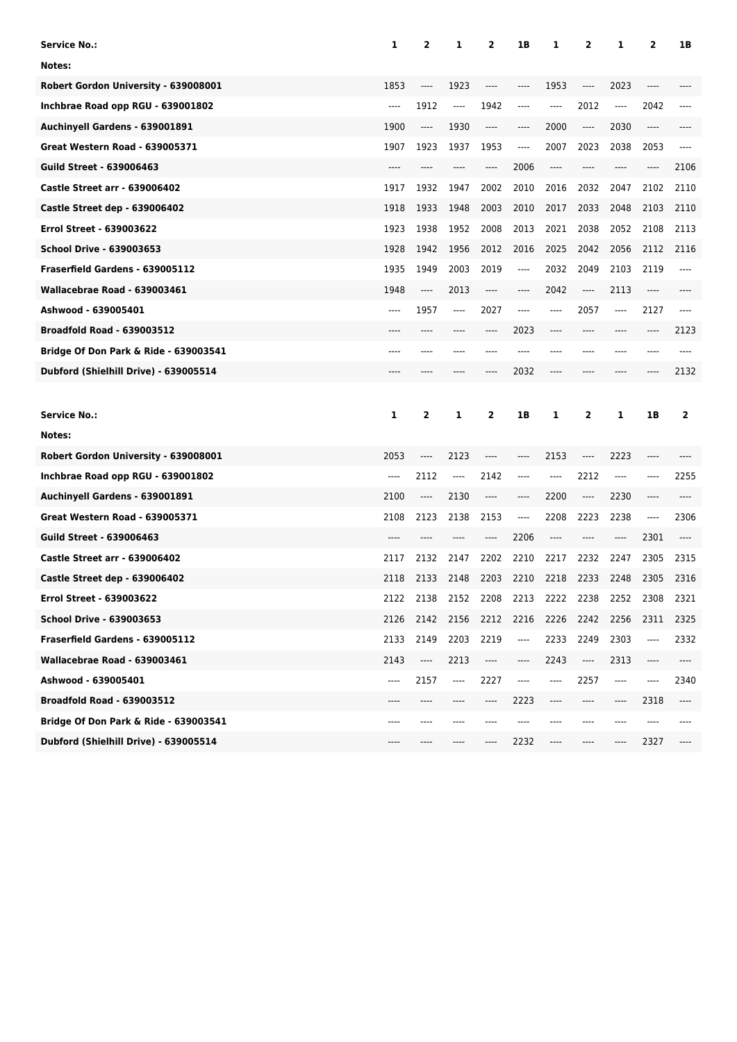| Service No.:                                     | 1                             | 2                             | 1                             | 2        | 1В                            | 1              | 2                             | 1                             | 2     | 1B           |
|--------------------------------------------------|-------------------------------|-------------------------------|-------------------------------|----------|-------------------------------|----------------|-------------------------------|-------------------------------|-------|--------------|
| Notes:                                           |                               |                               |                               |          |                               |                |                               |                               |       |              |
| Robert Gordon University - 639008001             | 1853                          |                               | 1923                          | ----     | ----                          | 1953           | ----                          | 2023                          | ----  |              |
| Inchbrae Road opp RGU - 639001802                | $\cdots$                      | 1912                          | ----                          | 1942     | ----                          | ----           | 2012                          | $---$                         | 2042  |              |
| Auchinyell Gardens - 639001891                   | 1900                          | $\hspace{1.5cm} \textbf{---}$ | 1930                          | $\cdots$ | ----                          | 2000           | $\cdots$                      | 2030                          | ----  |              |
| Great Western Road - 639005371                   | 1907                          | 1923                          | 1937                          | 1953     | $-----$                       | 2007           | 2023                          | 2038                          | 2053  | ----         |
| <b>Guild Street - 639006463</b>                  | ----                          |                               |                               | ----     | 2006                          | $---$          | ----                          |                               | ----  | 2106         |
| <b>Castle Street arr - 639006402</b>             | 1917                          | 1932                          | 1947                          | 2002     | 2010                          | 2016           | 2032                          | 2047                          | 2102  | 2110         |
| <b>Castle Street dep - 639006402</b>             | 1918                          | 1933                          | 1948                          | 2003     | 2010                          | 2017           | 2033                          | 2048                          | 2103  | 2110         |
| <b>Errol Street - 639003622</b>                  | 1923                          | 1938                          | 1952                          | 2008     | 2013                          | 2021           | 2038                          | 2052                          | 2108  | 2113         |
| School Drive - 639003653                         | 1928                          | 1942                          | 1956                          | 2012     | 2016                          | 2025           | 2042                          | 2056                          | 2112  | 2116         |
| Fraserfield Gardens - 639005112                  | 1935                          | 1949                          | 2003                          | 2019     | $-----$                       | 2032           | 2049                          | 2103                          | 2119  | ----         |
| Wallacebrae Road - 639003461                     | 1948                          | ----                          | 2013                          | ----     | ----                          | 2042           | $\cdots$                      | 2113                          | $---$ |              |
| Ashwood - 639005401                              | $---$                         | 1957                          | ----                          | 2027     | ----                          | ----           | 2057                          | ----                          | 2127  | ----         |
| <b>Broadfold Road - 639003512</b>                |                               |                               |                               | ----     | 2023                          | $---$          | ----                          | ----                          | ----  | 2123         |
| Bridge Of Don Park & Ride - 639003541            | ----                          | ----                          |                               |          |                               | ----           | ----                          | ----                          | ----  | ----         |
| Dubford (Shielhill Drive) - 639005514            | ----                          | ----                          |                               | ----     | 2032                          | ----           | ----                          |                               | ----  | 2132         |
|                                                  |                               |                               |                               |          |                               |                |                               |                               |       |              |
|                                                  |                               |                               |                               |          |                               |                |                               |                               |       |              |
| Service No.:                                     | 1                             | 2                             | 1                             | 2        | 1B                            | 1              | 2                             | 1                             | 1B    | $\mathbf{2}$ |
| Notes:                                           |                               |                               |                               |          |                               |                |                               |                               |       |              |
| Robert Gordon University - 639008001             | 2053                          | ----                          | 2123                          | ----     | ----                          | 2153           | $---$                         | 2223                          | ----  |              |
| Inchbrae Road opp RGU - 639001802                | ----                          | 2112                          | $\hspace{1.5cm} \textbf{---}$ | 2142     | $---$                         | $---$          | 2212                          | ----                          | ----  | 2255         |
| Auchinyell Gardens - 639001891                   | 2100                          | ----                          | 2130                          | ----     | ----                          | 2200           | $\hspace{1.5cm} \textbf{---}$ | 2230                          | ----  | ----         |
| <b>Great Western Road - 639005371</b>            | 2108                          | 2123                          | 2138                          | 2153     | $---$                         | 2208           | 2223                          | 2238                          | $---$ | 2306         |
| <b>Guild Street - 639006463</b>                  |                               |                               |                               | ----     | 2206                          | $---$          | ----                          | ----                          | 2301  |              |
| <b>Castle Street arr - 639006402</b>             | 2117                          | 2132                          | 2147                          | 2202     | 2210                          | 2217           | 2232                          | 2247                          | 2305  | 2315         |
| Castle Street dep - 639006402                    | 2118                          | 2133                          | 2148                          | 2203     | 2210                          | 2218           | 2233                          | 2248                          | 2305  | 2316         |
| <b>Errol Street - 639003622</b>                  | 2122                          | 2138                          | 2152 2208                     |          |                               | 2213 2222 2238 |                               | 2252                          | 2308  | 2321         |
| <b>School Drive - 639003653</b>                  | 2126                          | 2142                          | 2156                          | 2212     | 2216                          | 2226           | 2242                          | 2256                          | 2311  | 2325         |
| Fraserfield Gardens - 639005112                  | 2133                          | 2149                          | 2203                          | 2219     | $\overline{\phantom{a}}$      | 2233           | 2249                          | 2303                          | ----  | 2332         |
| Wallacebrae Road - 639003461                     | 2143                          | ----                          | 2213                          | ----     | $\hspace{1.5cm} \textbf{---}$ | 2243           | ----                          | 2313                          | $---$ | ----         |
| Ashwood - 639005401                              | $\hspace{1.5cm} \textbf{---}$ | 2157                          | $\hspace{1.5cm} \textbf{---}$ | 2227     | $\qquad \qquad - - -$         | $---$          | 2257                          | $\hspace{1.5cm} \textbf{---}$ | ----  | 2340         |
| <b>Broadfold Road - 639003512</b>                |                               |                               |                               |          | 2223                          | $---$          | ----                          | ----                          | 2318  | ----         |
| <b>Bridge Of Don Park &amp; Ride - 639003541</b> | ----                          |                               |                               |          |                               |                |                               | ----                          |       |              |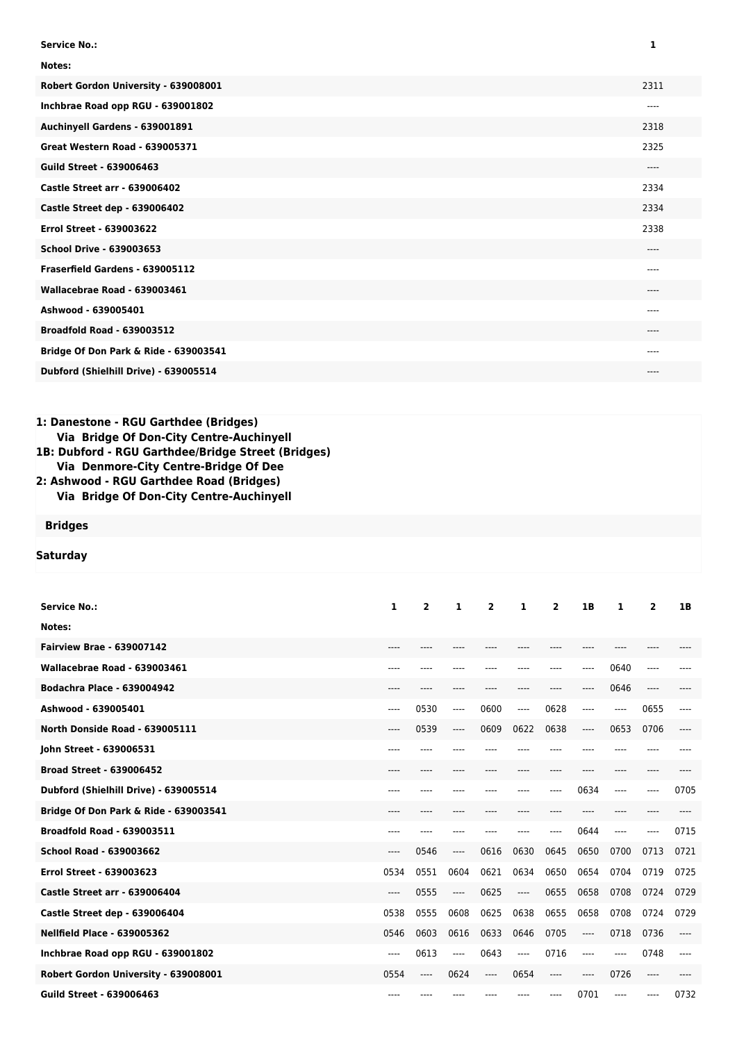| <b>Service No.:</b>                   | 1     |
|---------------------------------------|-------|
| Notes:                                |       |
| Robert Gordon University - 639008001  | 2311  |
| Inchbrae Road opp RGU - 639001802     | $---$ |
| Auchinyell Gardens - 639001891        | 2318  |
| <b>Great Western Road - 639005371</b> | 2325  |
| <b>Guild Street - 639006463</b>       | $---$ |
| <b>Castle Street arr - 639006402</b>  | 2334  |
| Castle Street dep - 639006402         | 2334  |
| <b>Errol Street - 639003622</b>       | 2338  |
| <b>School Drive - 639003653</b>       | $---$ |
| Fraserfield Gardens - 639005112       | $---$ |
| Wallacebrae Road - 639003461          | $---$ |
| Ashwood - 639005401                   | $---$ |
| <b>Broadfold Road - 639003512</b>     | $---$ |
| Bridge Of Don Park & Ride - 639003541 | ----  |
| Dubford (Shielhill Drive) - 639005514 | ----  |

## **1: Danestone - RGU Garthdee (Bridges) Via Bridge Of Don-City Centre-Auchinyell**

**1B: Dubford - RGU Garthdee/Bridge Street (Bridges) Via Denmore-City Centre-Bridge Of Dee**

**2: Ashwood - RGU Garthdee Road (Bridges) Via Bridge Of Don-City Centre-Auchinyell**

**Bridges**

**Saturday**

| <b>Service No.:</b>                   | 1     | $\overline{2}$ | 1    | $\mathbf{2}$ | 1     | $\overline{2}$ | 1B    | 1     | $\overline{2}$ | 1B    |
|---------------------------------------|-------|----------------|------|--------------|-------|----------------|-------|-------|----------------|-------|
| Notes:                                |       |                |      |              |       |                |       |       |                |       |
| <b>Fairview Brae - 639007142</b>      | $---$ |                |      |              |       |                |       |       |                |       |
| Wallacebrae Road - 639003461          | $---$ |                |      |              |       | ----           | ----  | 0640  | ----           |       |
| <b>Bodachra Place - 639004942</b>     | ----  |                |      |              |       | ----           | ----  | 0646  | ----           |       |
| Ashwood - 639005401                   | ----  | 0530           | ---- | 0600         | $---$ | 0628           | ----  | ----  | 0655           | ----  |
| North Donside Road - 639005111        | ----  | 0539           | ---- | 0609         | 0622  | 0638           | $---$ | 0653  | 0706           | ----  |
| John Street - 639006531               | $---$ |                |      |              |       |                | ----  |       |                |       |
| <b>Broad Street - 639006452</b>       | ----  | ----           | ---- | ----         |       | ----           | ----  | ----  | ----           |       |
| Dubford (Shielhill Drive) - 639005514 | ----  |                |      |              |       | ----           | 0634  | ----  | ----           | 0705  |
| Bridge Of Don Park & Ride - 639003541 | ----  |                |      |              |       |                | ----  |       |                |       |
| <b>Broadfold Road - 639003511</b>     | ----  |                |      |              |       | ----           | 0644  | ----  | ----           | 0715  |
| <b>School Road - 639003662</b>        | ----  | 0546           | ---- | 0616         | 0630  | 0645           | 0650  | 0700  | 0713           | 0721  |
| <b>Errol Street - 639003623</b>       | 0534  | 0551           | 0604 | 0621         | 0634  | 0650           | 0654  | 0704  | 0719           | 0725  |
| <b>Castle Street arr - 639006404</b>  | ----  | 0555           | ---- | 0625         | ----  | 0655           | 0658  | 0708  | 0724           | 0729  |
| Castle Street dep - 639006404         | 0538  | 0555           | 0608 | 0625         | 0638  | 0655           | 0658  | 0708  | 0724           | 0729  |
| <b>Nellfield Place - 639005362</b>    | 0546  | 0603           | 0616 | 0633         | 0646  | 0705           | $---$ | 0718  | 0736           | $---$ |
| Inchbrae Road opp RGU - 639001802     | ----  | 0613           | ---- | 0643         | ----  | 0716           | $---$ | ----  | 0748           | ----  |
| Robert Gordon University - 639008001  | 0554  | ----           | 0624 | ----         | 0654  | ----           | $---$ | 0726  | ----           |       |
| <b>Guild Street - 639006463</b>       | $---$ |                |      |              |       | ----           | 0701  | $---$ | $- - - -$      | 0732  |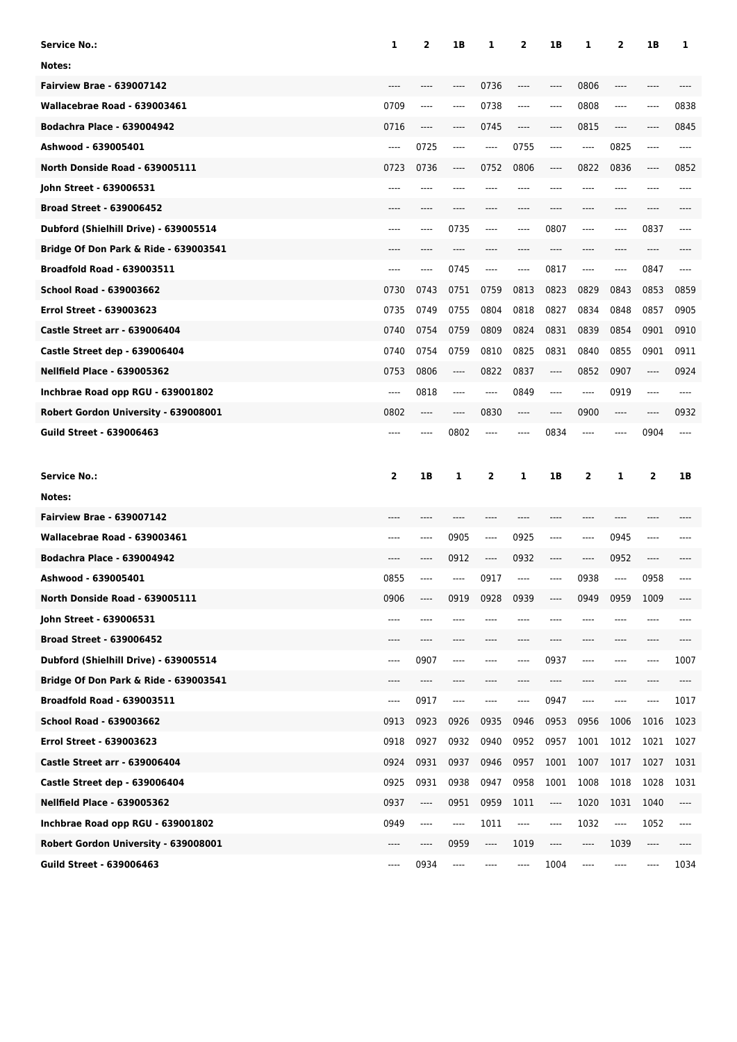| Service No.:                          | 1            | 2    | 1B                            | 1                       | 2    | 1B      | 1       | 2    | 1B             | 1    |
|---------------------------------------|--------------|------|-------------------------------|-------------------------|------|---------|---------|------|----------------|------|
| Notes:                                |              |      |                               |                         |      |         |         |      |                |      |
| <b>Fairview Brae - 639007142</b>      |              |      |                               | 0736                    | ---- | ----    | 0806    |      |                |      |
| Wallacebrae Road - 639003461          | 0709         | ---- | $---$                         | 0738                    | ---- | ----    | 0808    | ---- | ----           | 0838 |
| <b>Bodachra Place - 639004942</b>     | 0716         | ---- |                               | 0745                    | ---- | ----    | 0815    | ---- |                | 0845 |
| Ashwood - 639005401                   | ----         | 0725 | $---$                         | ----                    | 0755 | $---$   | $---$   | 0825 | ----           | ---- |
| North Donside Road - 639005111        | 0723         | 0736 | ----                          | 0752                    | 0806 | ----    | 0822    | 0836 | ----           | 0852 |
| John Street - 639006531               | ----         | ---- |                               |                         | ---- |         | ----    | ---- | ----           | ---- |
| <b>Broad Street - 639006452</b>       | ----         | ---- | ----                          | ----                    | ---- | $---$   | ----    | ---- | ----           |      |
| Dubford (Shielhill Drive) - 639005514 | ----         | ---- | 0735                          | ----                    | ---- | 0807    | ----    | ---- | 0837           | ---- |
| Bridge Of Don Park & Ride - 639003541 |              |      |                               |                         |      |         |         |      |                |      |
| <b>Broadfold Road - 639003511</b>     | $---$        | ---- | 0745                          | ----                    | ---- | 0817    | ----    | ---- | 0847           | ---- |
| School Road - 639003662               | 0730         | 0743 | 0751                          | 0759                    | 0813 | 0823    | 0829    | 0843 | 0853           | 0859 |
| <b>Errol Street - 639003623</b>       | 0735         | 0749 | 0755                          | 0804                    | 0818 | 0827    | 0834    | 0848 | 0857           | 0905 |
| <b>Castle Street arr - 639006404</b>  | 0740         | 0754 | 0759                          | 0809                    | 0824 | 0831    | 0839    | 0854 | 0901           | 0910 |
| Castle Street dep - 639006404         | 0740         | 0754 | 0759                          | 0810                    | 0825 | 0831    | 0840    | 0855 | 0901           | 0911 |
| <b>Nellfield Place - 639005362</b>    | 0753         | 0806 | $\hspace{1.5cm} \textbf{---}$ | 0822                    | 0837 | ----    | 0852    | 0907 | ----           | 0924 |
| Inchbrae Road opp RGU - 639001802     | ----         | 0818 | $---$                         | ----                    | 0849 | ----    | ----    | 0919 | ----           | ---- |
| Robert Gordon University - 639008001  | 0802         | ---- | $---$                         | 0830                    | ---- | $-----$ | 0900    | ---- | ----           | 0932 |
| <b>Guild Street - 639006463</b>       | ----         | ---- | 0802                          | ----                    | ---- | 0834    | ----    | ---- | 0904           | ---- |
|                                       |              |      |                               |                         |      |         |         |      |                |      |
| <b>Service No.:</b>                   | $\mathbf{2}$ | 1B   | 1                             | $\overline{\mathbf{2}}$ | 1    | 1B      | 2       | 1    | $\overline{2}$ | 1B   |
| Notes:                                |              |      |                               |                         |      |         |         |      |                |      |
| <b>Fairview Brae - 639007142</b>      |              |      |                               |                         |      |         |         |      |                |      |
| Wallacebrae Road - 639003461          | ----         | ---- | 0905                          | ----                    | 0925 | ----    | $-----$ | 0945 | ----           |      |
| <b>Bodachra Place - 639004942</b>     | ----         | ---- | 0912                          | ----                    | 0932 | $-----$ | $-----$ | 0952 | ----           |      |
| Ashwood - 639005401                   | 0855         |      |                               | 0917                    | ---- | ----    | 0938    | ---- | 0958           |      |
| North Donside Road - 639005111        | 0906         |      | 0919                          | 0928                    | 0939 | ----    | 0949    | 0959 | 1009           |      |
| John Street - 639006531               | ----         | ---- | ----                          |                         |      |         | ----    | ---- | ----           |      |
| <b>Broad Street - 639006452</b>       | ----         | ---- | ----                          | ----                    | ---- | $-----$ | $-----$ | ---- | ----           | ---- |
| Dubford (Shielhill Drive) - 639005514 | ----         | 0907 | ----                          | ----                    | ---- | 0937    | ----    | ---- | ----           | 1007 |
| Bridge Of Don Park & Ride - 639003541 | ----         | ---- | ----                          | ----                    | ---- | ----    | ----    | ---- | ----           |      |
| <b>Broadfold Road - 639003511</b>     | ----         | 0917 | $\cdots$                      | ----                    | ---- | 0947    | ----    | ---- | ----           | 1017 |
| School Road - 639003662               | 0913         | 0923 | 0926                          | 0935                    | 0946 | 0953    | 0956    | 1006 | 1016           | 1023 |
| Errol Street - 639003623              | 0918         | 0927 | 0932                          | 0940                    | 0952 | 0957    | 1001    | 1012 | 1021           | 1027 |
| <b>Castle Street arr - 639006404</b>  | 0924         | 0931 | 0937                          | 0946                    | 0957 | 1001    | 1007    | 1017 | 1027           | 1031 |
| Castle Street dep - 639006404         | 0925         | 0931 | 0938                          | 0947                    | 0958 | 1001    | 1008    | 1018 | 1028           | 1031 |
| <b>Nellfield Place - 639005362</b>    | 0937         | ---- | 0951                          | 0959                    | 1011 | ----    | 1020    | 1031 | 1040           | ---- |
| Inchbrae Road opp RGU - 639001802     | 0949         | ---- | ----                          | 1011                    | ---- | ----    | 1032    | ---- | 1052           | ---- |
| Robert Gordon University - 639008001  | ----         | ---- | 0959                          | ----                    | 1019 | $---$   | ----    | 1039 | ----           |      |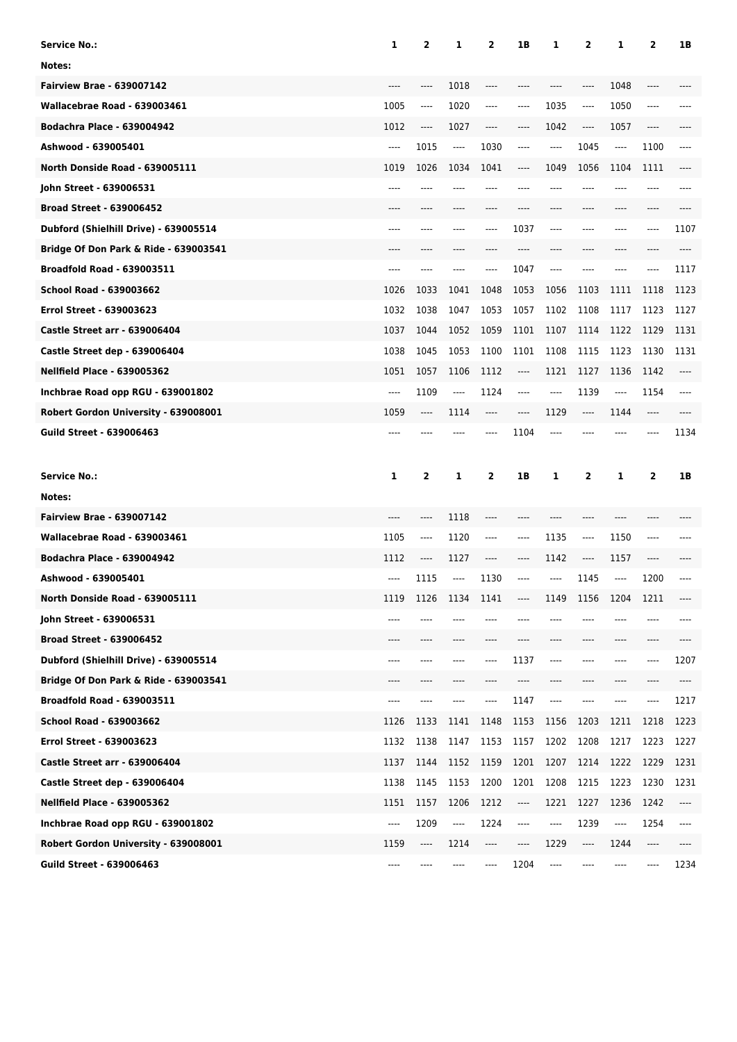| <b>Service No.:</b>                   | 1                             | 2        | 1    | 2    | 1B                            | 1     | 2       | 1                             | $\overline{2}$                | 1B   |
|---------------------------------------|-------------------------------|----------|------|------|-------------------------------|-------|---------|-------------------------------|-------------------------------|------|
| Notes:                                |                               |          |      |      |                               |       |         |                               |                               |      |
| <b>Fairview Brae - 639007142</b>      |                               |          | 1018 | ---- |                               |       | ----    | 1048                          | ----                          |      |
| Wallacebrae Road - 639003461          | 1005                          | ----     | 1020 | ---- | ----                          | 1035  | $---$   | 1050                          | ----                          |      |
| <b>Bodachra Place - 639004942</b>     | 1012                          | ----     | 1027 | ---- | ----                          | 1042  | $---$   | 1057                          | $\hspace{1.5cm} \textbf{---}$ |      |
| Ashwood - 639005401                   | $\hspace{1.5cm} \textbf{---}$ | 1015     | ---- | 1030 | ----                          | ----  | 1045    | $\hspace{1.5cm} \textbf{---}$ | 1100                          | ---- |
| North Donside Road - 639005111        | 1019                          | 1026     | 1034 | 1041 |                               | 1049  | 1056    | 1104                          | 1111                          |      |
| John Street - 639006531               | ----                          |          |      | ---- |                               | ----  | ----    |                               | ----                          |      |
| <b>Broad Street - 639006452</b>       | ----                          |          | ---- | ---- |                               | ----  | ----    | $---$                         | ----                          |      |
| Dubford (Shielhill Drive) - 639005514 | $---$                         |          |      | ---- | 1037                          | ----  | ----    | $---$                         | ----                          | 1107 |
| Bridge Of Don Park & Ride - 639003541 |                               |          |      |      |                               |       |         |                               |                               |      |
| <b>Broadfold Road - 639003511</b>     | ----                          |          | ---- | ---- | 1047                          | ----  |         |                               | ----                          | 1117 |
| <b>School Road - 639003662</b>        | 1026                          | 1033     | 1041 | 1048 | 1053                          | 1056  | 1103    | 1111                          | 1118                          | 1123 |
| <b>Errol Street - 639003623</b>       | 1032                          | 1038     | 1047 | 1053 | 1057                          | 1102  | 1108    | 1117                          | 1123                          | 1127 |
| <b>Castle Street arr - 639006404</b>  | 1037                          | 1044     | 1052 | 1059 | 1101                          | 1107  | 1114    | 1122                          | 1129                          | 1131 |
| Castle Street dep - 639006404         | 1038                          | 1045     | 1053 | 1100 | 1101                          | 1108  | 1115    | 1123                          | 1130                          | 1131 |
| <b>Nellfield Place - 639005362</b>    | 1051                          | 1057     | 1106 | 1112 | ----                          | 1121  | 1127    | 1136                          | 1142                          | ---- |
| Inchbrae Road opp RGU - 639001802     | $-----$                       | 1109     | ---- | 1124 | ----                          | ----  | 1139    | $\hspace{1.5cm} \textbf{---}$ | 1154                          | ---- |
| Robert Gordon University - 639008001  | 1059                          | ----     | 1114 | ---- | ----                          | 1129  | $-----$ | 1144                          | ----                          |      |
| <b>Guild Street - 639006463</b>       | ----                          |          |      |      | 1104                          |       |         |                               | ----                          | 1134 |
|                                       |                               |          |      |      |                               |       |         |                               |                               |      |
| <b>Service No.:</b>                   | 1                             | 2        | 1    | 2    | 1B                            | 1     | 2       | 1                             | 2                             | 1B   |
| Notes:                                |                               |          |      |      |                               |       |         |                               |                               |      |
| <b>Fairview Brae - 639007142</b>      |                               | ----     | 1118 | ---- |                               |       |         |                               |                               |      |
| Wallacebrae Road - 639003461          | 1105                          | $\cdots$ | 1120 | ---- | ----                          | 1135  | $---$   | 1150                          | ----                          |      |
| <b>Bodachra Place - 639004942</b>     | 1112                          | ----     | 1127 | ---- | ----                          | 1142  | $---$   | 1157                          | ----                          |      |
| Ashwood - 639005401                   | ----                          | 1115     | ---- | 1130 | ----                          | ----  | 1145    | ----                          | 1200                          | ---- |
| North Donside Road - 639005111        | 1119                          | 1126     | 1134 | 1141 | ----                          | 1149  | 1156    | 1204                          | 1211                          | ---- |
| John Street - 639006531               | ----                          |          |      |      |                               |       |         |                               | ----                          |      |
| <b>Broad Street - 639006452</b>       | $---$                         | ----     | ---- | ---- | ----                          | ----  | $---$   | $---$                         | ----                          | ---- |
| Dubford (Shielhill Drive) - 639005514 | ----                          | ----     | ---- | ---- | 1137                          | ----  | ----    |                               | ----                          | 1207 |
| Bridge Of Don Park & Ride - 639003541 | ----                          |          |      |      |                               |       | ----    | $-----$                       |                               |      |
| <b>Broadfold Road - 639003511</b>     | ----                          | ----     |      | ---- | 1147                          | ----  | ----    | ----                          | ----                          | 1217 |
| School Road - 639003662               | 1126                          | 1133     | 1141 | 1148 | 1153                          | 1156  | 1203    | 1211                          | 1218                          | 1223 |
| Errol Street - 639003623              | 1132                          | 1138     | 1147 | 1153 | 1157                          | 1202  | 1208    | 1217                          | 1223                          | 1227 |
| <b>Castle Street arr - 639006404</b>  | 1137                          | 1144     | 1152 | 1159 | 1201                          | 1207  | 1214    | 1222                          | 1229                          | 1231 |
| Castle Street dep - 639006404         | 1138                          | 1145     | 1153 | 1200 | 1201                          | 1208  | 1215    | 1223                          | 1230                          | 1231 |
| <b>Nellfield Place - 639005362</b>    | 1151                          | 1157     | 1206 | 1212 | $\hspace{1.5cm} \textbf{---}$ | 1221  | 1227    | 1236                          | 1242                          | ---- |
| Inchbrae Road opp RGU - 639001802     | $\cdots$                      | 1209     | ---- | 1224 | ----                          | $---$ | 1239    | ----                          | 1254                          | ---- |
| Robert Gordon University - 639008001  | 1159                          | ----     | 1214 | ---- | ----                          | 1229  | ----    | 1244                          | ----                          |      |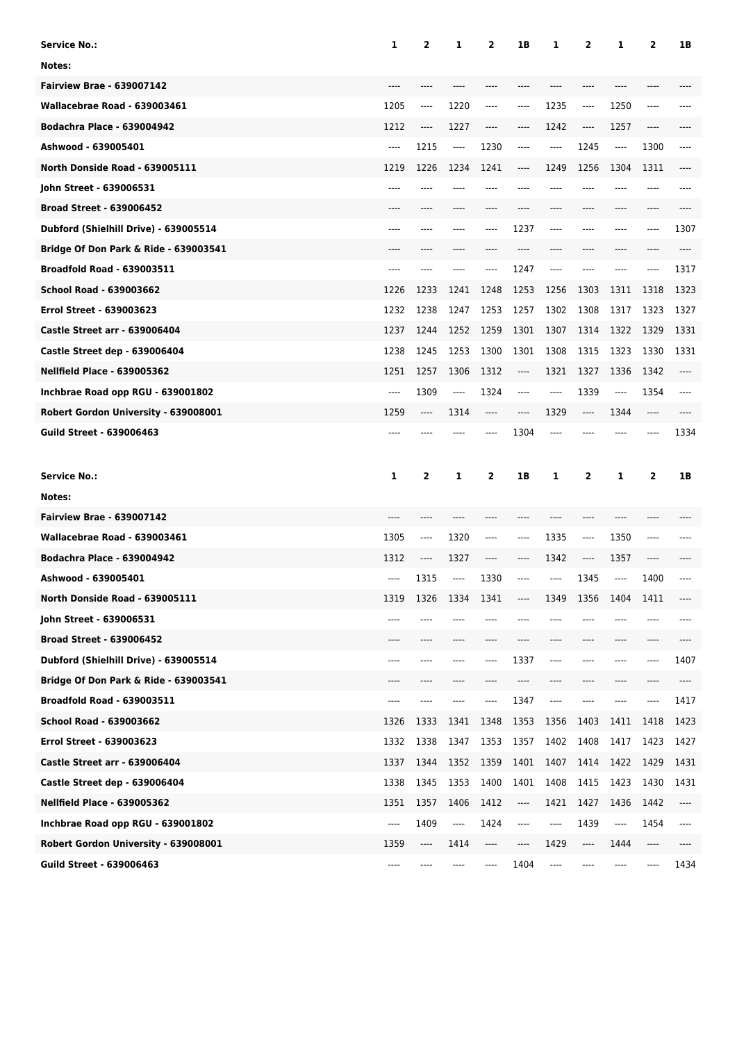| <b>Service No.:</b>                   | 1    | 2    | 1                             | 2    | 1B                                           | 1       | 2        | 1    | 2    | 1B   |
|---------------------------------------|------|------|-------------------------------|------|----------------------------------------------|---------|----------|------|------|------|
| Notes:                                |      |      |                               |      |                                              |         |          |      |      |      |
| <b>Fairview Brae - 639007142</b>      |      |      |                               |      |                                              |         |          |      |      |      |
| Wallacebrae Road - 639003461          | 1205 | ---- | 1220                          | ---- | ----                                         | 1235    | ----     | 1250 | ---- |      |
| <b>Bodachra Place - 639004942</b>     | 1212 | ---- | 1227                          | ---- | ----                                         | 1242    | $\cdots$ | 1257 | ---- |      |
| Ashwood - 639005401                   | ---- | 1215 | $\cdots$                      | 1230 | ----                                         | $-----$ | 1245     | ---- | 1300 | ---- |
| North Donside Road - 639005111        | 1219 | 1226 | 1234                          | 1241 | ----                                         | 1249    | 1256     | 1304 | 1311 |      |
| John Street - 639006531               |      |      |                               |      |                                              |         |          |      | ---- |      |
| <b>Broad Street - 639006452</b>       | ---- | ---- | ----                          | ---- |                                              | ----    | ----     | ---- | ---- |      |
| Dubford (Shielhill Drive) - 639005514 | ---- |      |                               | ---- | 1237                                         | $---$   | ----     | ---- | ---- | 1307 |
| Bridge Of Don Park & Ride - 639003541 |      |      |                               |      |                                              |         |          |      |      |      |
| <b>Broadfold Road - 639003511</b>     | ---- |      | ----                          | ---- | 1247                                         | $---$   |          |      | ---- | 1317 |
| School Road - 639003662               | 1226 | 1233 | 1241                          | 1248 | 1253                                         | 1256    | 1303     | 1311 | 1318 | 1323 |
| <b>Errol Street - 639003623</b>       | 1232 | 1238 | 1247                          | 1253 | 1257                                         | 1302    | 1308     | 1317 | 1323 | 1327 |
| Castle Street arr - 639006404         | 1237 | 1244 | 1252                          | 1259 | 1301                                         | 1307    | 1314     | 1322 | 1329 | 1331 |
| Castle Street dep - 639006404         | 1238 | 1245 | 1253                          | 1300 | 1301                                         | 1308    | 1315     | 1323 | 1330 | 1331 |
| <b>Nellfield Place - 639005362</b>    | 1251 | 1257 | 1306                          | 1312 | ----                                         | 1321    | 1327     | 1336 | 1342 | ---- |
| Inchbrae Road opp RGU - 639001802     | ---- | 1309 | $---$                         | 1324 | ----                                         | ----    | 1339     | ---- | 1354 | ---- |
| Robert Gordon University - 639008001  | 1259 | ---- | 1314                          | ---- | ----                                         | 1329    | ----     | 1344 | ---- |      |
| <b>Guild Street - 639006463</b>       | ---- |      |                               | ---- | 1304                                         | ----    |          |      |      | 1334 |
|                                       |      |      |                               |      |                                              |         |          |      |      |      |
| <b>Service No.:</b>                   | 1    | 2    | 1                             | 2    | 1B                                           | 1       | 2        | 1    | 2    | 1B   |
| Notes:                                |      |      |                               |      |                                              |         |          |      |      |      |
| <b>Fairview Brae - 639007142</b>      |      |      |                               |      |                                              |         | ----     |      |      |      |
| Wallacebrae Road - 639003461          | 1305 | ---- | 1320                          | ---- | ----                                         | 1335    | ----     | 1350 | ---- |      |
| <b>Bodachra Place - 639004942</b>     | 1312 | ---- | 1327                          | ---- | ----                                         | 1342    | ----     | 1357 | ---- |      |
| Ashwood - 639005401                   | ---- | 1315 | $\hspace{1.5cm} \textbf{---}$ | 1330 | ----                                         | $---$   | 1345     | ---- | 1400 |      |
| North Donside Road - 639005111        | 1319 | 1326 | 1334                          | 1341 | ----                                         | 1349    | 1356     | 1404 | 1411 |      |
| John Street - 639006531               | ---- |      |                               |      |                                              |         |          |      |      |      |
| <b>Broad Street - 639006452</b>       | ---- | ---- | ----                          | ---- | ----                                         | ----    | ----     | ---- | ---- |      |
| Dubford (Shielhill Drive) - 639005514 | ---- | ---- |                               | ---- | 1337                                         | $---$   | ---      | ---- | ---- | 1407 |
| Bridge Of Don Park & Ride - 639003541 | ---- |      |                               |      | ----                                         |         |          | ---- |      |      |
| <b>Broadfold Road - 639003511</b>     | ---- | ---- |                               | ---- | 1347                                         | ----    | ----     | ---- |      | 1417 |
| School Road - 639003662               | 1326 | 1333 | 1341                          | 1348 | 1353                                         | 1356    | 1403     | 1411 | 1418 | 1423 |
| <b>Errol Street - 639003623</b>       | 1332 | 1338 | 1347                          | 1353 | 1357                                         | 1402    | 1408     | 1417 | 1423 | 1427 |
| <b>Castle Street arr - 639006404</b>  | 1337 | 1344 | 1352                          | 1359 | 1401                                         | 1407    | 1414     | 1422 | 1429 | 1431 |
| Castle Street dep - 639006404         | 1338 | 1345 | 1353                          | 1400 | 1401                                         | 1408    | 1415     | 1423 | 1430 | 1431 |
| <b>Nellfield Place - 639005362</b>    | 1351 | 1357 | 1406                          | 1412 | $\hspace{1.5cm} \textbf{---} \hspace{1.5cm}$ | 1421    | 1427     | 1436 | 1442 | ---- |
| Inchbrae Road opp RGU - 639001802     | ---- | 1409 | ----                          | 1424 | ----                                         | ----    | 1439     | ---- | 1454 | ---- |
| Robert Gordon University - 639008001  | 1359 | ---- | 1414                          | ---- | ----                                         | 1429    | ----     | 1444 | ---- |      |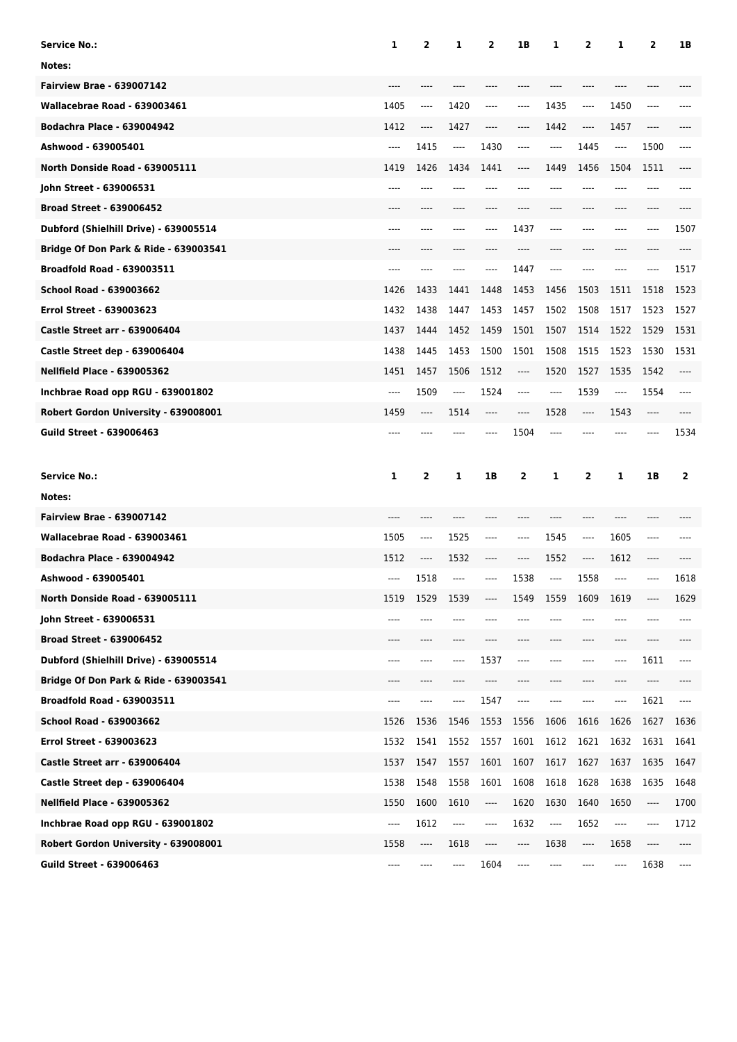| <b>Service No.:</b>                   | 1    | 2    | 1        | 2    | 1B   | 1       | 2        | 1    | 2    | 1B   |
|---------------------------------------|------|------|----------|------|------|---------|----------|------|------|------|
| Notes:                                |      |      |          |      |      |         |          |      |      |      |
| <b>Fairview Brae - 639007142</b>      |      |      |          |      |      |         |          |      |      |      |
| Wallacebrae Road - 639003461          | 1405 | ---- | 1420     | ---- | ---- | 1435    | ----     | 1450 | ---- |      |
| <b>Bodachra Place - 639004942</b>     | 1412 | ---- | 1427     | ---- | ---- | 1442    | $\cdots$ | 1457 | ---- |      |
| Ashwood - 639005401                   | ---- | 1415 | $\cdots$ | 1430 | ---- | $-----$ | 1445     | ---- | 1500 | ---- |
| North Donside Road - 639005111        | 1419 | 1426 | 1434     | 1441 | ---- | 1449    | 1456     | 1504 | 1511 |      |
| John Street - 639006531               |      |      |          |      |      |         |          |      | ---- |      |
| <b>Broad Street - 639006452</b>       | ---- | ---- | ----     | ---- |      | ----    | ----     | ---- | ---- |      |
| Dubford (Shielhill Drive) - 639005514 | ---- |      |          | ---- | 1437 | $---$   | ----     | ---- | ---- | 1507 |
| Bridge Of Don Park & Ride - 639003541 |      |      |          |      |      |         |          |      |      |      |
| <b>Broadfold Road - 639003511</b>     | ---- |      | ----     | ---- | 1447 | $---$   | $---$    |      | ---- | 1517 |
| School Road - 639003662               | 1426 | 1433 | 1441     | 1448 | 1453 | 1456    | 1503     | 1511 | 1518 | 1523 |
| <b>Errol Street - 639003623</b>       | 1432 | 1438 | 1447     | 1453 | 1457 | 1502    | 1508     | 1517 | 1523 | 1527 |
| Castle Street arr - 639006404         | 1437 | 1444 | 1452     | 1459 | 1501 | 1507    | 1514     | 1522 | 1529 | 1531 |
| Castle Street dep - 639006404         | 1438 | 1445 | 1453     | 1500 | 1501 | 1508    | 1515     | 1523 | 1530 | 1531 |
| <b>Nellfield Place - 639005362</b>    | 1451 | 1457 | 1506     | 1512 | ---- | 1520    | 1527     | 1535 | 1542 | ---- |
| Inchbrae Road opp RGU - 639001802     | ---- | 1509 | $---$    | 1524 | ---- | ----    | 1539     | ---- | 1554 | ---- |
| Robert Gordon University - 639008001  | 1459 | ---- | 1514     | ---- | ---- | 1528    | ----     | 1543 | ---- |      |
| <b>Guild Street - 639006463</b>       | ---- |      |          | ---- | 1504 | ----    |          |      |      | 1534 |
|                                       |      |      |          |      |      |         |          |      |      |      |
| <b>Service No.:</b>                   | 1    | 2    | 1        | 1B   | 2    | 1       | 2        | 1    | 1B   | 2    |
| Notes:                                |      |      |          |      |      |         |          |      |      |      |
| <b>Fairview Brae - 639007142</b>      | ---- |      |          |      |      |         | ----     |      |      |      |
| Wallacebrae Road - 639003461          | 1505 | ---- | 1525     | ---- | ---- | 1545    | ----     | 1605 | ---- |      |
| <b>Bodachra Place - 639004942</b>     | 1512 | ---- | 1532     | ---- | ---- | 1552    | ----     | 1612 | ---- |      |
| Ashwood - 639005401                   | ---- | 1518 | ----     | ---- | 1538 | $---$   | 1558     | ---- | ---- | 1618 |
| North Donside Road - 639005111        | 1519 | 1529 | 1539     |      | 1549 | 1559    | 1609     | 1619 |      | 1629 |
| John Street - 639006531               | ---- |      |          |      |      |         |          | ---- |      |      |
| <b>Broad Street - 639006452</b>       | ---- | ---- | ----     |      |      |         | ----     | ---- |      |      |
| Dubford (Shielhill Drive) - 639005514 | ---- | ---- | ----     | 1537 | ---- |         | ---      | ---- | 1611 | ---- |
| Bridge Of Don Park & Ride - 639003541 | ---- |      |          | ---- |      |         | ----     |      | ---- |      |
| <b>Broadfold Road - 639003511</b>     | ---- | ---- | ----     | 1547 | ---- |         | ----     | ---- | 1621 | ---- |
| School Road - 639003662               | 1526 | 1536 | 1546     | 1553 | 1556 | 1606    | 1616     | 1626 | 1627 | 1636 |
| <b>Errol Street - 639003623</b>       | 1532 | 1541 | 1552     | 1557 | 1601 | 1612    | 1621     | 1632 | 1631 | 1641 |
| <b>Castle Street arr - 639006404</b>  | 1537 | 1547 | 1557     | 1601 | 1607 | 1617    | 1627     | 1637 | 1635 | 1647 |
| Castle Street dep - 639006404         | 1538 | 1548 | 1558     | 1601 | 1608 | 1618    | 1628     | 1638 | 1635 | 1648 |
| <b>Nellfield Place - 639005362</b>    | 1550 | 1600 | 1610     | ---- | 1620 | 1630    | 1640     | 1650 | ---- | 1700 |
| Inchbrae Road opp RGU - 639001802     | ---- | 1612 | ----     | ---- | 1632 | ----    | 1652     | ---- | ---- | 1712 |
| Robert Gordon University - 639008001  | 1558 | ---- | 1618     | ---- | ---- | 1638    | ----     | 1658 | ---- |      |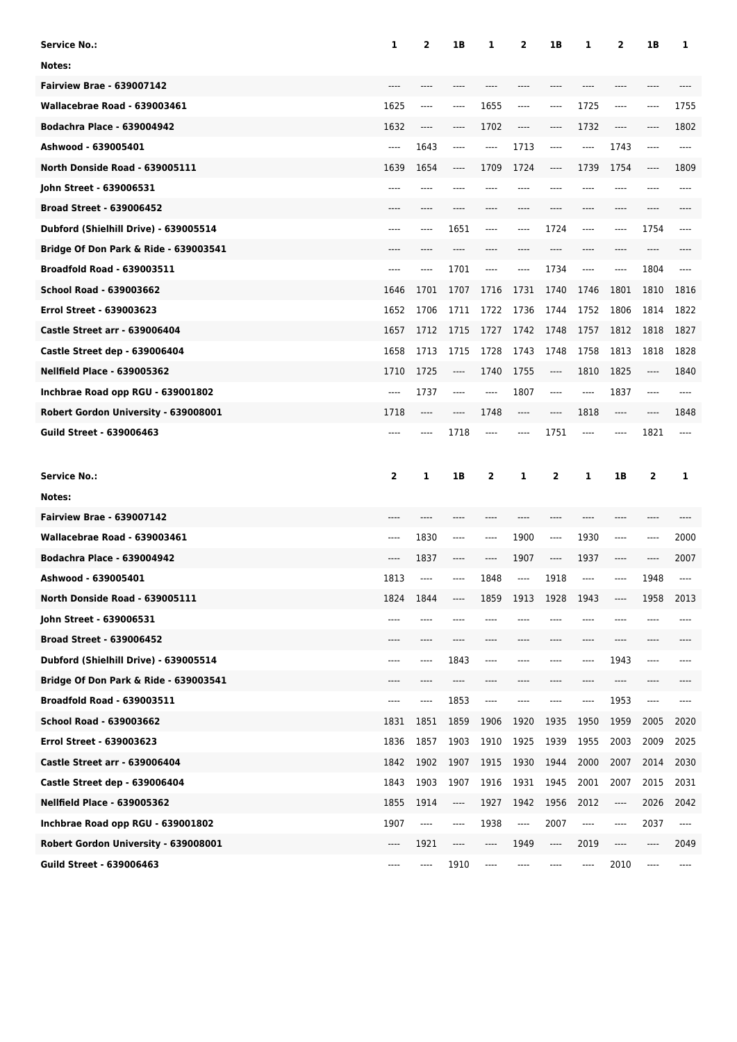| <b>Service No.:</b>                   | 1     | 2    | 1B       | 1    | 2     | 1B                            | 1       | 2     | 1B   | 1                             |
|---------------------------------------|-------|------|----------|------|-------|-------------------------------|---------|-------|------|-------------------------------|
| Notes:                                |       |      |          |      |       |                               |         |       |      |                               |
| <b>Fairview Brae - 639007142</b>      |       |      |          |      |       |                               |         |       |      |                               |
| Wallacebrae Road - 639003461          | 1625  | ---- | $\cdots$ | 1655 | ----  | $-----$                       | 1725    | ----  | ---- | 1755                          |
| <b>Bodachra Place - 639004942</b>     | 1632  | ---- | $\cdots$ | 1702 | ----  | $-----$                       | 1732    | ----  | ---- | 1802                          |
| Ashwood - 639005401                   | ----  | 1643 | $\cdots$ | ---- | 1713  | $-----$                       | $-----$ | 1743  | ---- | ----                          |
| North Donside Road - 639005111        | 1639  | 1654 | $\cdots$ | 1709 | 1724  | $-----$                       | 1739    | 1754  | ---- | 1809                          |
| John Street - 639006531               |       |      |          |      |       |                               |         | ----  | ---- | ----                          |
| <b>Broad Street - 639006452</b>       | $---$ | ---- | ----     | ---- | ----  | ----                          | ----    | ----  | ---- |                               |
| Dubford (Shielhill Drive) - 639005514 | $---$ | ---- | 1651     | ---- | ----  | 1724                          | ----    | ----  | 1754 | ----                          |
| Bridge Of Don Park & Ride - 639003541 |       |      |          |      |       |                               |         |       |      |                               |
| <b>Broadfold Road - 639003511</b>     | $---$ | ---- | 1701     | ---- | ----  | 1734                          | $-----$ | ----  | 1804 |                               |
| <b>School Road - 639003662</b>        | 1646  | 1701 | 1707     | 1716 | 1731  | 1740                          | 1746    | 1801  | 1810 | 1816                          |
| <b>Errol Street - 639003623</b>       | 1652  | 1706 | 1711     | 1722 | 1736  | 1744                          | 1752    | 1806  | 1814 | 1822                          |
| <b>Castle Street arr - 639006404</b>  | 1657  | 1712 | 1715     | 1727 | 1742  | 1748                          | 1757    | 1812  | 1818 | 1827                          |
| Castle Street dep - 639006404         | 1658  | 1713 | 1715     | 1728 | 1743  | 1748                          | 1758    | 1813  | 1818 | 1828                          |
| <b>Nellfield Place - 639005362</b>    | 1710  | 1725 | $\cdots$ | 1740 | 1755  | ----                          | 1810    | 1825  | ---- | 1840                          |
| Inchbrae Road opp RGU - 639001802     | ----  | 1737 | $\cdots$ | ---- | 1807  | $-----$                       | ----    | 1837  | ---- | ----                          |
| Robert Gordon University - 639008001  | 1718  | ---- | ----     | 1748 | ----  | ----                          | 1818    | $---$ | ---- | 1848                          |
| <b>Guild Street - 639006463</b>       | ----  | ---- | 1718     | ---- | ----  | 1751                          | ----    | ----  | 1821 | ----                          |
|                                       |       |      |          |      |       |                               |         |       |      |                               |
| <b>Service No.:</b>                   | 2     | 1    | 1B       | 2    | 1     | 2                             | 1       | 1B    | 2    | 1                             |
| Notes:                                |       |      |          |      |       |                               |         |       |      |                               |
| <b>Fairview Brae - 639007142</b>      |       |      |          |      |       |                               |         |       |      |                               |
| Wallacebrae Road - 639003461          | ----  | 1830 | ----     | ---- | 1900  | $---$                         | 1930    | ----  | ---- | 2000                          |
| <b>Bodachra Place - 639004942</b>     | ----  | 1837 | ----     | ---- | 1907  | $---$                         | 1937    | ----  | ---- | 2007                          |
| Ashwood - 639005401                   | 1813  | ---- |          | 1848 | $---$ | 1918                          | ----    | ----  | 1948 | ----                          |
| North Donside Road - 639005111        | 1824  | 1844 |          | 1859 | 1913  | 1928                          | 1943    |       | 1958 | 2013                          |
| John Street - 639006531               | ----  | ---- |          |      |       |                               | ----    |       |      |                               |
| <b>Broad Street - 639006452</b>       | ----  | ---- | ----     | ---- |       | ----                          | ----    | ----  | ---- |                               |
| Dubford (Shielhill Drive) - 639005514 | ----  | ---- | 1843     | ---- |       |                               | ----    | 1943  | ---- |                               |
| Bridge Of Don Park & Ride - 639003541 | ----  | ---- | ----     |      |       |                               | ----    | ----  |      |                               |
| <b>Broadfold Road - 639003511</b>     | ----  | ---- | 1853     | ---- |       | ----                          | ----    | 1953  | ---- |                               |
| School Road - 639003662               | 1831  | 1851 | 1859     | 1906 | 1920  | 1935                          | 1950    | 1959  | 2005 | 2020                          |
| <b>Errol Street - 639003623</b>       | 1836  | 1857 | 1903     | 1910 | 1925  | 1939                          | 1955    | 2003  | 2009 | 2025                          |
| <b>Castle Street arr - 639006404</b>  | 1842  | 1902 | 1907     | 1915 | 1930  | 1944                          | 2000    | 2007  | 2014 | 2030                          |
| Castle Street dep - 639006404         | 1843  | 1903 | 1907     | 1916 | 1931  | 1945                          | 2001    | 2007  | 2015 | 2031                          |
| <b>Nellfield Place - 639005362</b>    | 1855  | 1914 | ----     | 1927 | 1942  | 1956                          | 2012    | ----  | 2026 | 2042                          |
| Inchbrae Road opp RGU - 639001802     | 1907  | ---- | ----     | 1938 | ----  | 2007                          | ----    | ----  | 2037 | $\hspace{1.5cm} \textbf{---}$ |
| Robert Gordon University - 639008001  | ----  | 1921 | ----     | ---- | 1949  | $\hspace{1.5cm} \textbf{---}$ | 2019    | ----  | ---- | 2049                          |